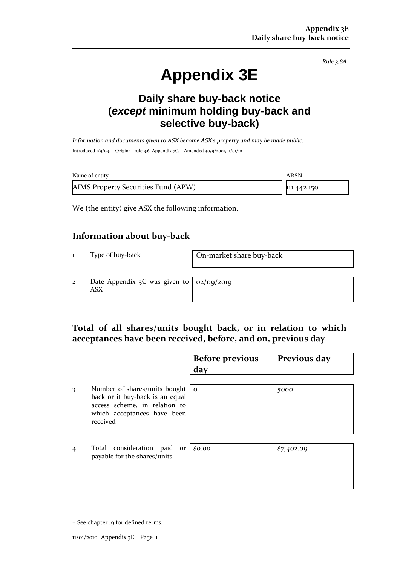*Rule 3.8A*

# **Appendix 3E**

## **Daily share buy-back notice (***except* **minimum holding buy-back and selective buy-back)**

*Information and documents given to ASX become ASX's property and may be made public.* Introduced 1/9/99. Origin: rule 3.6, Appendix 7C. Amended 30/9/2001, 11/01/10

| Name of entity                      | ARSN        |
|-------------------------------------|-------------|
| AIMS Property Securities Fund (APW) | 111 442 150 |

We (the entity) give ASX the following information.

#### **Information about buy-back**

1 Type of buy-back On-market share buy-back

2 Date Appendix 3C was given to ASX

02/09/2019

#### **Total of all shares/units bought back, or in relation to which acceptances have been received, before, and on, previous day**

|                |                                                                                                                                                        | <b>Before previous</b><br>day | Previous day |
|----------------|--------------------------------------------------------------------------------------------------------------------------------------------------------|-------------------------------|--------------|
| 3              | Number of shares/units bought $\vert$ o<br>back or if buy-back is an equal<br>access scheme, in relation to<br>which acceptances have been<br>received |                               | 5000         |
| $\overline{4}$ | Total consideration paid<br>or<br>payable for the shares/units                                                                                         | \$0.00                        | \$7,402.09   |

<sup>+</sup> See chapter 19 for defined terms.